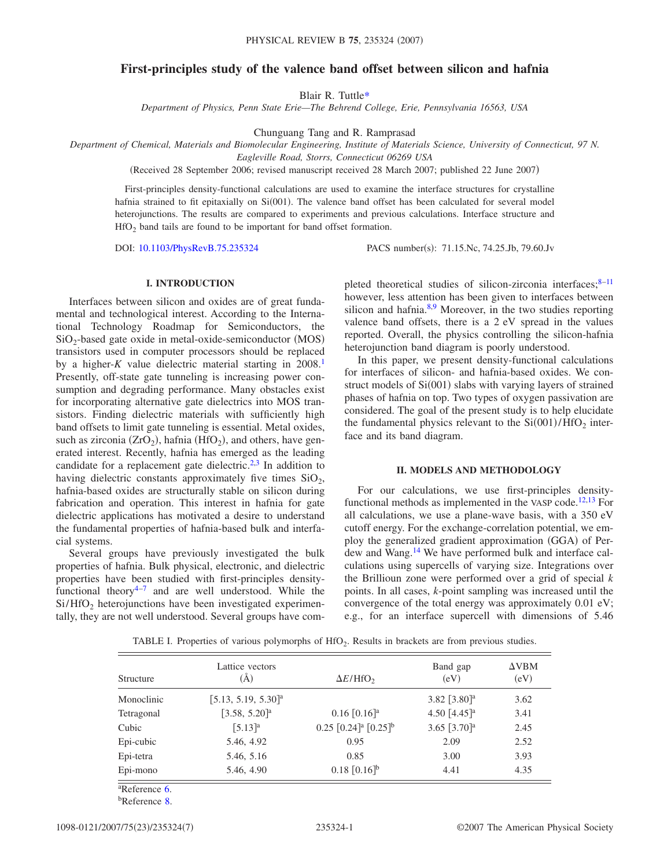# **First-principles study of the valence band offset between silicon and hafnia**

Blair R. Tuttl[e\\*](#page-5-0)

*Department of Physics, Penn State Erie—The Behrend College, Erie, Pennsylvania 16563, USA*

Chunguang Tang and R. Ramprasad

*Department of Chemical, Materials and Biomolecular Engineering, Institute of Materials Science, University of Connecticut, 97 N.*

*Eagleville Road, Storrs, Connecticut 06269 USA*

(Received 28 September 2006; revised manuscript received 28 March 2007; published 22 June 2007)

First-principles density-functional calculations are used to examine the interface structures for crystalline hafnia strained to fit epitaxially on Si(001). The valence band offset has been calculated for several model heterojunctions. The results are compared to experiments and previous calculations. Interface structure and  $HfO<sub>2</sub>$  band tails are found to be important for band offset formation.

DOI: [10.1103/PhysRevB.75.235324](http://dx.doi.org/10.1103/PhysRevB.75.235324)

PACS number(s): 71.15.Nc, 74.25.Jb, 79.60.Jv

# **I. INTRODUCTION**

Interfaces between silicon and oxides are of great fundamental and technological interest. According to the International Technology Roadmap for Semiconductors, the  $SiO<sub>2</sub>$ -based gate oxide in metal-oxide-semiconductor (MOS) transistors used in computer processors should be replaced by a higher- $K$  value dielectric material starting in 2008.<sup>1</sup> Presently, off-state gate tunneling is increasing power consumption and degrading performance. Many obstacles exist for incorporating alternative gate dielectrics into MOS transistors. Finding dielectric materials with sufficiently high band offsets to limit gate tunneling is essential. Metal oxides, such as zirconia  $(ZrO<sub>2</sub>)$ , hafnia  $(HfO<sub>2</sub>)$ , and others, have generated interest. Recently, hafnia has emerged as the leading candidate for a replacement gate dielectric.<sup>2[,3](#page-5-3)</sup> In addition to having dielectric constants approximately five times  $SiO<sub>2</sub>$ , hafnia-based oxides are structurally stable on silicon during fabrication and operation. This interest in hafnia for gate dielectric applications has motivated a desire to understand the fundamental properties of hafnia-based bulk and interfacial systems.

Several groups have previously investigated the bulk properties of hafnia. Bulk physical, electronic, and dielectric properties have been studied with first-principles densityfunctional theory $4-7$  and are well understood. While the  $Si/HfO<sub>2</sub>$  heterojunctions have been investigated experimentally, they are not well understood. Several groups have completed theoretical studies of silicon-zirconia interfaces; $8-11$ however, less attention has been given to interfaces between silicon and hafnia. $8,9$  $8,9$  Moreover, in the two studies reporting valence band offsets, there is a 2 eV spread in the values reported. Overall, the physics controlling the silicon-hafnia heterojunction band diagram is poorly understood.

In this paper, we present density-functional calculations for interfaces of silicon- and hafnia-based oxides. We construct models of Si(001) slabs with varying layers of strained phases of hafnia on top. Two types of oxygen passivation are considered. The goal of the present study is to help elucidate the fundamental physics relevant to the  $Si(001)/HfO<sub>2</sub>$  interface and its band diagram.

#### **II. MODELS AND METHODOLOGY**

For our calculations, we use first-principles density-functional methods as implemented in the VASP code.<sup>12,[13](#page-5-10)</sup> For all calculations, we use a plane-wave basis, with a 350 eV cutoff energy. For the exchange-correlation potential, we employ the generalized gradient approximation (GGA) of Perdew and Wang.<sup>14</sup> We have performed bulk and interface calculations using supercells of varying size. Integrations over the Brillioun zone were performed over a grid of special *k* points. In all cases, *k*-point sampling was increased until the convergence of the total energy was approximately 0.01 eV; e.g., for an interface supercell with dimensions of 5.46

<span id="page-0-0"></span>

| Structure  | Lattice vectors<br>$\rm(\AA)$     | $\Delta E/HfO2$                                    | Band gap<br>(eV)           | $\Delta VBM$<br>(eV) |
|------------|-----------------------------------|----------------------------------------------------|----------------------------|----------------------|
| Monoclinic | $[5.13, 5.19, 5.30]$ <sup>a</sup> |                                                    | 3.82 $[3.80]$ <sup>a</sup> | 3.62                 |
| Tetragonal | $[3.58, 5.20]$ <sup>a</sup>       | $0.16$ [0.16] <sup>a</sup>                         | 4.50 $[4.45]$ <sup>a</sup> | 3.41                 |
| Cubic      | $[5.13]^{a}$                      | $0.25$ $[0.24]$ <sup>a</sup> $[0.25]$ <sup>b</sup> | 3.65 $[3.70]$ <sup>a</sup> | 2.45                 |
| Epi-cubic  | 5.46, 4.92                        | 0.95                                               | 2.09                       | 2.52                 |
| Epi-tetra  | 5.46, 5.16                        | 0.85                                               | 3.00                       | 3.93                 |
| Epi-mono   | 5.46, 4.90                        | $0.18$ [0.16] <sup>b</sup>                         | 4.41                       | 4.35                 |

TABLE I. Properties of various polymorphs of HfO<sub>2</sub>. Results in brackets are from previous studies.

b Reference [8.](#page-5-6)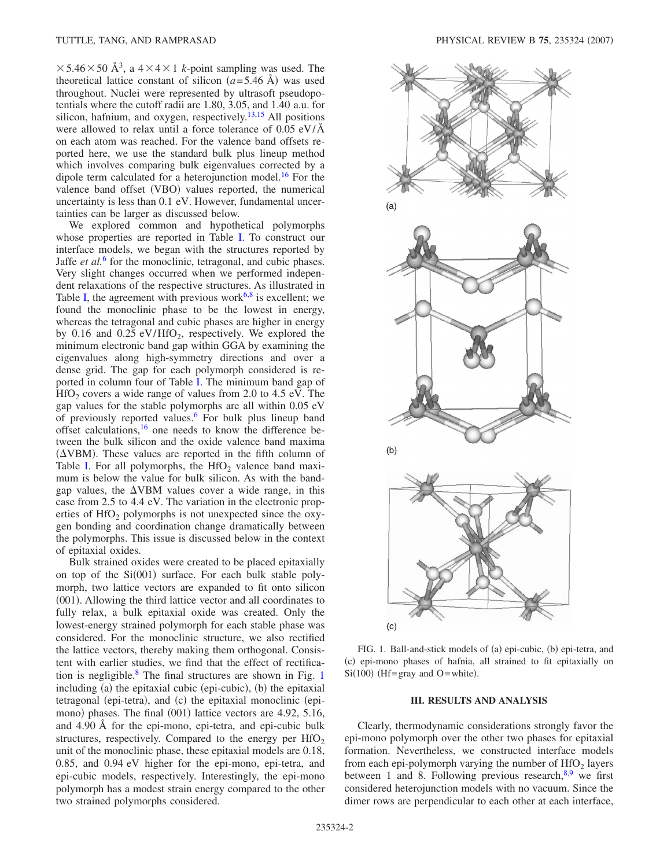$\times$  5.46  $\times$  50 Å<sup>3</sup>, a 4  $\times$  4  $\times$  1 *k*-point sampling was used. The theoretical lattice constant of silicon  $(a=5.46 \text{ Å})$  was used throughout. Nuclei were represented by ultrasoft pseudopotentials where the cutoff radii are 1.80, 3.05, and 1.40 a.u. for silicon, hafnium, and oxygen, respectively.<sup>13,[15](#page-5-13)</sup> All positions were allowed to relax until a force tolerance of 0.05 eV/Å on each atom was reached. For the valence band offsets reported here, we use the standard bulk plus lineup method which involves comparing bulk eigenvalues corrected by a dipole term calculated for a heterojunction model.<sup>16</sup> For the valence band offset (VBO) values reported, the numerical uncertainty is less than 0.1 eV. However, fundamental uncertainties can be larger as discussed below.

We explored common and hypothetical polymorphs whose properties are reported in Table [I.](#page-0-0) To construct our interface models, we began with the structures reported by Jaffe *et al.*[6](#page-5-12) for the monoclinic, tetragonal, and cubic phases. Very slight changes occurred when we performed independent relaxations of the respective structures. As illustrated in Table [I,](#page-0-0) the agreement with previous work<sup>6[,8](#page-5-6)</sup> is excellent; we found the monoclinic phase to be the lowest in energy, whereas the tetragonal and cubic phases are higher in energy by 0.16 and 0.25  $eV/HfO<sub>2</sub>$ , respectively. We explored the minimum electronic band gap within GGA by examining the eigenvalues along high-symmetry directions and over a dense grid. The gap for each polymorph considered is reported in column four of Table [I.](#page-0-0) The minimum band gap of  $HfO<sub>2</sub>$  covers a wide range of values from 2.0 to 4.5 eV. The gap values for the stable polymorphs are all within 0.05 eV of previously reported values.<sup>6</sup> For bulk plus lineup band offset calculations,  $16$  one needs to know the difference between the bulk silicon and the oxide valence band maxima  $(\Delta VBM)$ . These values are reported in the fifth column of Table [I.](#page-0-0) For all polymorphs, the  $HfO<sub>2</sub>$  valence band maximum is below the value for bulk silicon. As with the bandgap values, the  $\Delta$ VBM values cover a wide range, in this case from 2.5 to 4.4 eV. The variation in the electronic properties of  $HfO<sub>2</sub>$  polymorphs is not unexpected since the oxygen bonding and coordination change dramatically between the polymorphs. This issue is discussed below in the context of epitaxial oxides.

Bulk strained oxides were created to be placed epitaxially on top of the Si(001) surface. For each bulk stable polymorph, two lattice vectors are expanded to fit onto silicon (001). Allowing the third lattice vector and all coordinates to fully relax, a bulk epitaxial oxide was created. Only the lowest-energy strained polymorph for each stable phase was considered. For the monoclinic structure, we also rectified the lattice vectors, thereby making them orthogonal. Consistent with earlier studies, we find that the effect of rectification is negligible. $8$  The final structures are shown in Fig. [1](#page-1-0) including (a) the epitaxial cubic (epi-cubic), (b) the epitaxial tetragonal (epi-tetra), and (c) the epitaxial monoclinic (epimono) phases. The final (001) lattice vectors are 4.92, 5.16, and 4.90 Å for the epi-mono, epi-tetra, and epi-cubic bulk structures, respectively. Compared to the energy per  $HfO<sub>2</sub>$ unit of the monoclinic phase, these epitaxial models are 0.18, 0.85, and 0.94 eV higher for the epi-mono, epi-tetra, and epi-cubic models, respectively. Interestingly, the epi-mono polymorph has a modest strain energy compared to the other two strained polymorphs considered.

<span id="page-1-0"></span>

FIG. 1. Ball-and-stick models of (a) epi-cubic, (b) epi-tetra, and (c) epi-mono phases of hafnia, all strained to fit epitaxially on  $Si(100)$  (Hf=gray and O=white).

#### **III. RESULTS AND ANALYSIS**

Clearly, thermodynamic considerations strongly favor the epi-mono polymorph over the other two phases for epitaxial formation. Nevertheless, we constructed interface models from each epi-polymorph varying the number of  $HfO<sub>2</sub>$  layers between 1 and 8. Following previous research,  $8.9$  $8.9$  we first considered heterojunction models with no vacuum. Since the dimer rows are perpendicular to each other at each interface,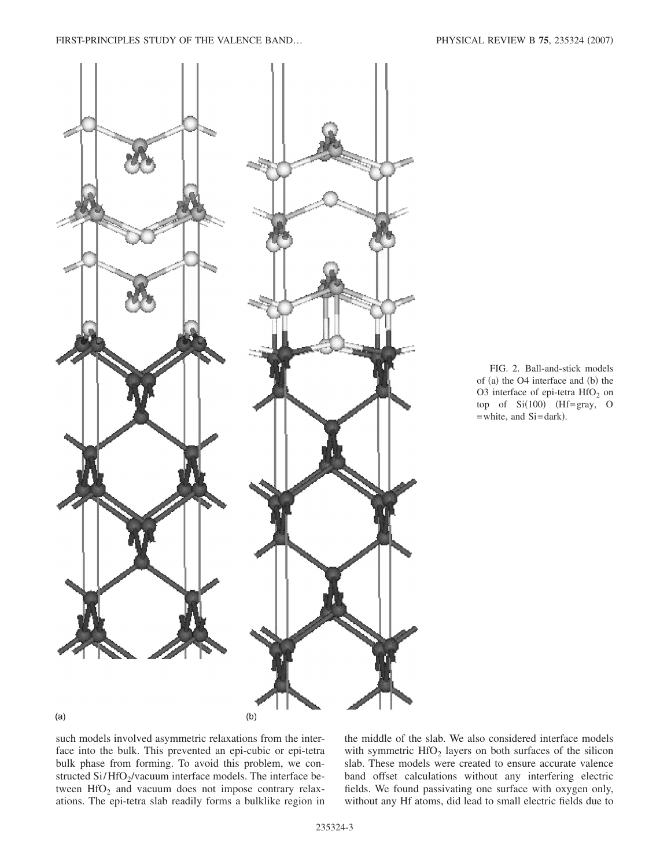<span id="page-2-0"></span>

FIG. 2. Ball-and-stick models of (a) the O4 interface and (b) the O3 interface of epi-tetra  $HfO<sub>2</sub>$  on top of  $Si(100)$  (Hf=gray, O = white, and Si=dark).

such models involved asymmetric relaxations from the interface into the bulk. This prevented an epi-cubic or epi-tetra bulk phase from forming. To avoid this problem, we constructed Si/HfO<sub>2</sub>/vacuum interface models. The interface between  $HfO<sub>2</sub>$  and vacuum does not impose contrary relaxations. The epi-tetra slab readily forms a bulklike region in

the middle of the slab. We also considered interface models with symmetric  $HfO<sub>2</sub>$  layers on both surfaces of the silicon slab. These models were created to ensure accurate valence band offset calculations without any interfering electric fields. We found passivating one surface with oxygen only, without any Hf atoms, did lead to small electric fields due to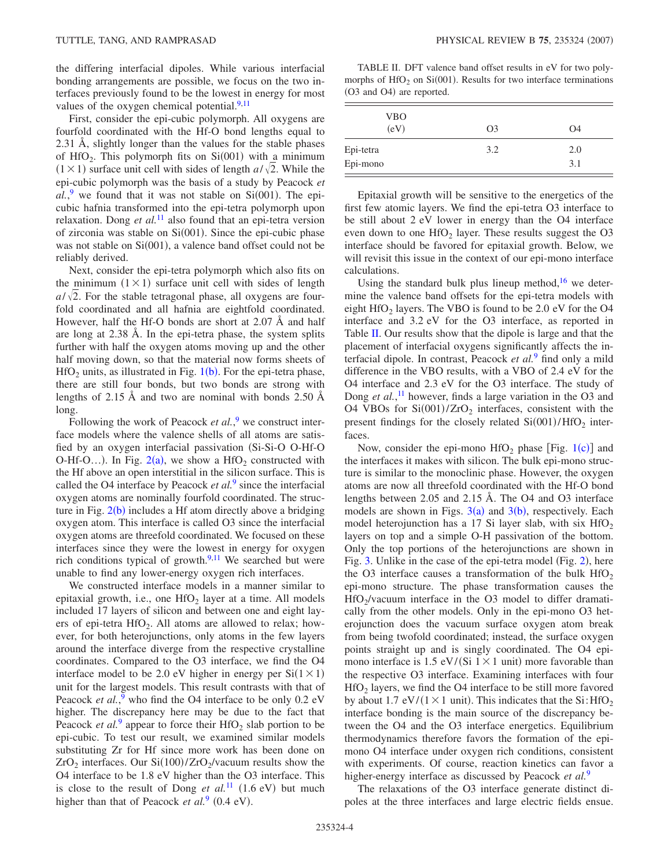the differing interfacial dipoles. While various interfacial bonding arrangements are possible, we focus on the two interfaces previously found to be the lowest in energy for most values of the oxygen chemical potential. $9,11$  $9,11$ 

First, consider the epi-cubic polymorph. All oxygens are fourfold coordinated with the Hf-O bond lengths equal to 2.31 Å, slightly longer than the values for the stable phases of HfO<sub>2</sub>. This polymorph fits on Si(001) with a minimum  $(1 \times 1)$  surface unit cell with sides of length  $a/\sqrt{2}$ . While the epi-cubic polymorph was the basis of a study by Peacock *et*  $al.$ <sup>[9](#page-5-8)</sup> we found that it was not stable on Si $(001)$ . The epicubic hafnia transformed into the epi-tetra polymorph upon relaxation. Dong *et al.*[11](#page-5-7) also found that an epi-tetra version of zirconia was stable on Si(001). Since the epi-cubic phase was not stable on Si(001), a valence band offset could not be reliably derived.

Next, consider the epi-tetra polymorph which also fits on the minimum  $(1 \times 1)$  surface unit cell with sides of length  $a/\sqrt{2}$ . For the stable tetragonal phase, all oxygens are fourfold coordinated and all hafnia are eightfold coordinated. However, half the Hf-O bonds are short at 2.07 Å and half are long at 2.38 Å. In the epi-tetra phase, the system splits further with half the oxygen atoms moving up and the other half moving down, so that the material now forms sheets of  $HfO<sub>2</sub>$  units, as illustrated in Fig. [1](#page-1-0)(b). For the epi-tetra phase, there are still four bonds, but two bonds are strong with lengths of 2.15 Å and two are nominal with bonds 2.50 Å long.

Following the work of Peacock *et al.*,<sup>[9](#page-5-8)</sup> we construct interface models where the valence shells of all atoms are satisfied by an oxygen interfacial passivation (Si-Si-O O-Hf-O O-Hf-O...). In Fig. [2](#page-2-0)(a), we show a HfO<sub>2</sub> constructed with the Hf above an open interstitial in the silicon surface. This is called the O4 interface by Peacock *et al.*[9](#page-5-8) since the interfacial oxygen atoms are nominally fourfold coordinated. The structure in Fig.  $2(b)$  $2(b)$  includes a Hf atom directly above a bridging oxygen atom. This interface is called O3 since the interfacial oxygen atoms are threefold coordinated. We focused on these interfaces since they were the lowest in energy for oxygen rich conditions typical of growth. $9,11$  $9,11$  We searched but were unable to find any lower-energy oxygen rich interfaces.

We constructed interface models in a manner similar to epitaxial growth, i.e., one  $HfO<sub>2</sub>$  layer at a time. All models included 17 layers of silicon and between one and eight layers of epi-tetra  $HfO<sub>2</sub>$ . All atoms are allowed to relax; however, for both heterojunctions, only atoms in the few layers around the interface diverge from the respective crystalline coordinates. Compared to the O3 interface, we find the O4 interface model to be 2.0 eV higher in energy per  $Si(1 \times 1)$ unit for the largest models. This result contrasts with that of Peacock *et al.*,<sup>[9](#page-5-8)</sup> who find the O4 interface to be only 0.2 eV higher. The discrepancy here may be due to the fact that Peacock *et al.*<sup>[9](#page-5-8)</sup> appear to force their  $\text{HfO}_2$  slab portion to be epi-cubic. To test our result, we examined similar models substituting Zr for Hf since more work has been done on  $ZrO_2$  interfaces. Our Si $(100)/ZrO_2/vacuum$  results show the O4 interface to be 1.8 eV higher than the O3 interface. This is close to the result of Dong *et al.*<sup>[11](#page-5-7)</sup> (1.6 eV) but much higher than that of Peacock *et al.*<sup>[9](#page-5-8)</sup> (0.4 eV).

<span id="page-3-0"></span>TABLE II. DFT valence band offset results in eV for two polymorphs of  $HfO<sub>2</sub>$  on Si(001). Results for two interface terminations (O3 and O4) are reported.

| <b>VBO</b><br>(eV)    | O <sub>3</sub> | O4         |
|-----------------------|----------------|------------|
| Epi-tetra<br>Epi-mono | 3.2            | 2.0<br>3.1 |

Epitaxial growth will be sensitive to the energetics of the first few atomic layers. We find the epi-tetra O3 interface to be still about 2 eV lower in energy than the O4 interface even down to one  $HfO<sub>2</sub>$  layer. These results suggest the O3 interface should be favored for epitaxial growth. Below, we will revisit this issue in the context of our epi-mono interface calculations.

Using the standard bulk plus lineup method,<sup>16</sup> we determine the valence band offsets for the epi-tetra models with eight HfO<sub>2</sub> layers. The VBO is found to be 2.0 eV for the O4 interface and 3.2 eV for the O3 interface, as reported in Table [II.](#page-3-0) Our results show that the dipole is large and that the placement of interfacial oxygens significantly affects the interfacial dipole. In contrast, Peacock *et al.*[9](#page-5-8) find only a mild difference in the VBO results, with a VBO of 2.4 eV for the O4 interface and 2.3 eV for the O3 interface. The study of Dong *et al.*,<sup>[11](#page-5-7)</sup> however, finds a large variation in the O3 and O4 VBOs for  $Si(001)/ZrO<sub>2</sub>$  interfaces, consistent with the present findings for the closely related  $Si(001)/HfO<sub>2</sub>$  interfaces.

Now, consider the epi-mono  $HfO<sub>2</sub>$  phase [Fig. [1](#page-1-0)(c)] and the interfaces it makes with silicon. The bulk epi-mono structure is similar to the monoclinic phase. However, the oxygen atoms are now all threefold coordinated with the Hf-O bond lengths between 2.05 and 2.15 Å. The O4 and O3 interface models are shown in Figs.  $3(a)$  $3(a)$  and  $3(b)$ , respectively. Each model heterojunction has a 17 Si layer slab, with six  $HfO<sub>2</sub>$ layers on top and a simple O-H passivation of the bottom. Only the top portions of the heterojunctions are shown in Fig. [3.](#page-4-0) Unlike in the case of the epi-tetra model (Fig. [2](#page-2-0)), here the O3 interface causes a transformation of the bulk  $HfO<sub>2</sub>$ epi-mono structure. The phase transformation causes the  $HfO_2/vacuum$  interface in the O3 model to differ dramatically from the other models. Only in the epi-mono O3 heterojunction does the vacuum surface oxygen atom break from being twofold coordinated; instead, the surface oxygen points straight up and is singly coordinated. The O4 epimono interface is 1.5 eV/(Si  $1 \times 1$  unit) more favorable than the respective O3 interface. Examining interfaces with four  $HfO<sub>2</sub>$  layers, we find the O4 interface to be still more favored by about 1.7 eV/( $1 \times 1$  unit). This indicates that the Si: HfO<sub>2</sub> interface bonding is the main source of the discrepancy between the O4 and the O3 interface energetics. Equilibrium thermodynamics therefore favors the formation of the epimono O4 interface under oxygen rich conditions, consistent with experiments. Of course, reaction kinetics can favor a higher-energy interface as discussed by Peacock *et al.*[9](#page-5-8)

The relaxations of the O3 interface generate distinct dipoles at the three interfaces and large electric fields ensue.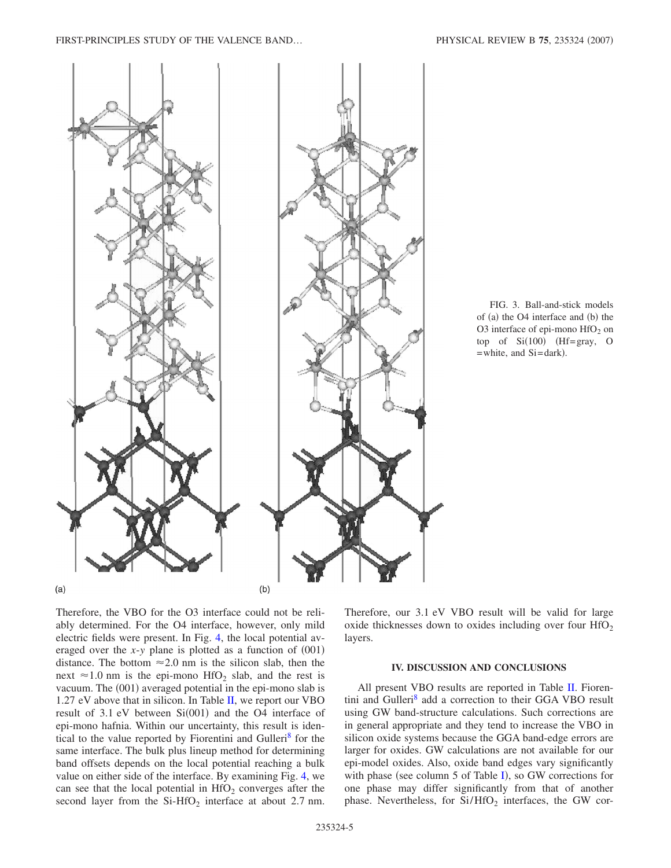<span id="page-4-0"></span>

FIG. 3. Ball-and-stick models of (a) the O4 interface and (b) the O3 interface of epi-mono  $HfO<sub>2</sub>$  on  $top$  of  $Si(100)$  (Hf=gray, O = white, and Si=dark).

Therefore, the VBO for the O3 interface could not be reliably determined. For the O4 interface, however, only mild electric fields were present. In Fig. [4,](#page-5-15) the local potential averaged over the  $x$ - $y$  plane is plotted as a function of  $(001)$ distance. The bottom  $\approx 2.0$  nm is the silicon slab, then the next  $\approx$  1.0 nm is the epi-mono HfO<sub>2</sub> slab, and the rest is vacuum. The (001) averaged potential in the epi-mono slab is 1.27 eV above that in silicon. In Table [II,](#page-3-0) we report our VBO result of  $3.1$  eV between  $Si(001)$  and the O4 interface of epi-mono hafnia. Within our uncertainty, this result is identical to the value reported by Fiorentini and Gulleri<sup>8</sup> for the same interface. The bulk plus lineup method for determining band offsets depends on the local potential reaching a bulk value on either side of the interface. By examining Fig. [4,](#page-5-15) we can see that the local potential in  $HfO<sub>2</sub>$  converges after the second layer from the  $Si-HfO<sub>2</sub>$  interface at about 2.7 nm. Therefore, our 3.1 eV VBO result will be valid for large oxide thicknesses down to oxides including over four  $HfO<sub>2</sub>$ layers.

## **IV. DISCUSSION AND CONCLUSIONS**

All present VBO results are reported in Table [II.](#page-3-0) Fiorentini and Gulleri<sup>8</sup> add a correction to their GGA VBO result using GW band-structure calculations. Such corrections are in general appropriate and they tend to increase the VBO in silicon oxide systems because the GGA band-edge errors are larger for oxides. GW calculations are not available for our epi-model oxides. Also, oxide band edges vary significantly with phase (see column 5 of Table [I](#page-0-0)), so GW corrections for one phase may differ significantly from that of another phase. Nevertheless, for  $Si/HfO<sub>2</sub>$  interfaces, the GW cor-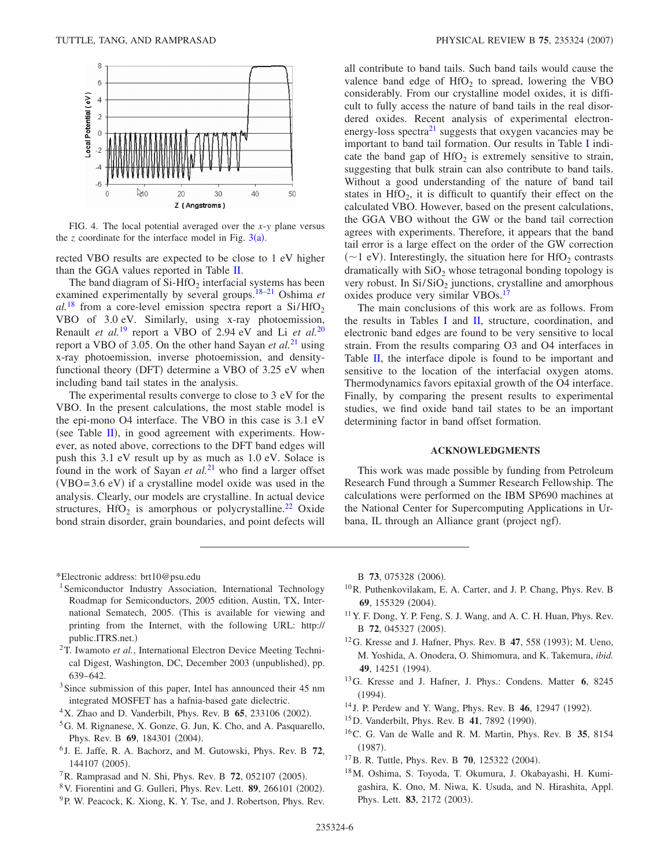<span id="page-5-15"></span>

FIG. 4. The local potential averaged over the *x*-*y* plane versus the  $z$  coordinate for the interface model in Fig.  $3(a)$  $3(a)$ .

rected VBO results are expected to be close to 1 eV higher than the GGA values reported in Table [II.](#page-3-0)

The band diagram of  $Si-HfO<sub>2</sub>$  interfacial systems has been examined experimentally by several groups[.18–](#page-5-16)[21](#page-6-0) Oshima *et*  $al.^{18}$  $al.^{18}$  $al.^{18}$  from a core-level emission spectra report a  $Si/HfO<sub>2</sub>$ VBO of 3.0 eV. Similarly, using x-ray photoemission, Renault *et al.*[19](#page-6-1) report a VBO of 2.94 eV and Li *et al.*[20](#page-6-2) report a VBO of 3.05. On the other hand Sayan *et al.*[21](#page-6-0) using x-ray photoemission, inverse photoemission, and densityfunctional theory (DFT) determine a VBO of 3.25 eV when including band tail states in the analysis.

The experimental results converge to close to 3 eV for the VBO. In the present calculations, the most stable model is the epi-mono O4 interface. The VBO in this case is 3.1 eV (see Table  $II$ ), in good agreement with experiments. However, as noted above, corrections to the DFT band edges will push this 3.1 eV result up by as much as 1.0 eV. Solace is found in the work of Sayan *et al.*[21](#page-6-0) who find a larger offset  $(VBO = 3.6$  eV) if a crystalline model oxide was used in the analysis. Clearly, our models are crystalline. In actual device structures,  $HfO<sub>2</sub>$  is amorphous or polycrystalline.<sup>22</sup> Oxide bond strain disorder, grain boundaries, and point defects will all contribute to band tails. Such band tails would cause the valence band edge of  $HfO<sub>2</sub>$  to spread, lowering the VBO considerably. From our crystalline model oxides, it is difficult to fully access the nature of band tails in the real disordered oxides. Recent analysis of experimental electronenergy-loss spectra $^{21}$  suggests that oxygen vacancies may be important to band tail formation. Our results in Table [I](#page-0-0) indicate the band gap of  $HfO<sub>2</sub>$  is extremely sensitive to strain, suggesting that bulk strain can also contribute to band tails. Without a good understanding of the nature of band tail states in  $HfO<sub>2</sub>$ , it is difficult to quantify their effect on the calculated VBO. However, based on the present calculations, the GGA VBO without the GW or the band tail correction agrees with experiments. Therefore, it appears that the band tail error is a large effect on the order of the GW correction ( $\sim$ 1 eV). Interestingly, the situation here for HfO<sub>2</sub> contrasts dramatically with  $SiO<sub>2</sub>$  whose tetragonal bonding topology is very robust. In  $Si/SiO<sub>2</sub>$  junctions, crystalline and amorphous oxides produce very similar VBOs.<sup>17</sup>

The main conclusions of this work are as follows. From the results in Tables [I](#page-0-0) and [II,](#page-3-0) structure, coordination, and electronic band edges are found to be very sensitive to local strain. From the results comparing O3 and O4 interfaces in Table [II,](#page-3-0) the interface dipole is found to be important and sensitive to the location of the interfacial oxygen atoms. Thermodynamics favors epitaxial growth of the O4 interface. Finally, by comparing the present results to experimental studies, we find oxide band tail states to be an important determining factor in band offset formation.

## **ACKNOWLEDGMENTS**

This work was made possible by funding from Petroleum Research Fund through a Summer Research Fellowship. The calculations were performed on the IBM SP690 machines at the National Center for Supercomputing Applications in Urbana, IL through an Alliance grant (project ngf).

<span id="page-5-0"></span>\*Electronic address: brt10@psu.edu

- <span id="page-5-1"></span><sup>1</sup> Semiconductor Industry Association, International Technology Roadmap for Semiconductors, 2005 edition, Austin, TX, International Sematech, 2005. This is available for viewing and printing from the Internet, with the following URL: http:// public.ITRS.net.)
- <span id="page-5-2"></span><sup>2</sup>T. Iwamoto et al., International Electron Device Meeting Technical Digest, Washington, DC, December 2003 (unpublished), pp. 639–642.
- <span id="page-5-3"></span><sup>3</sup>Since submission of this paper, Intel has announced their 45 nm integrated MOSFET has a hafnia-based gate dielectric.
- <span id="page-5-4"></span> $4X$ . Zhao and D. Vanderbilt, Phys. Rev. B  $65$ , 233106 (2002).
- 5G. M. Rignanese, X. Gonze, G. Jun, K. Cho, and A. Pasquarello, Phys. Rev. B 69, 184301 (2004).
- <span id="page-5-12"></span><sup>6</sup> J. E. Jaffe, R. A. Bachorz, and M. Gutowski, Phys. Rev. B **72**, 144107 (2005).
- <span id="page-5-5"></span><sup>7</sup> R. Ramprasad and N. Shi, Phys. Rev. B **72**, 052107 (2005).
- <span id="page-5-6"></span><sup>8</sup> V. Fiorentini and G. Gulleri, Phys. Rev. Lett. **89**, 266101 (2002).
- <span id="page-5-8"></span><sup>9</sup>P. W. Peacock, K. Xiong, K. Y. Tse, and J. Robertson, Phys. Rev.

B 73, 075328 (2006).

- 10R. Puthenkovilakam, E. A. Carter, and J. P. Chang, Phys. Rev. B 69, 155329 (2004).
- <span id="page-5-7"></span>11Y. F. Dong, Y. P. Feng, S. J. Wang, and A. C. H. Huan, Phys. Rev. B 72, 045327 (2005).
- <span id="page-5-9"></span> $12$  G. Kresse and J. Hafner, Phys. Rev. B 47, 558 (1993); M. Ueno, M. Yoshida, A. Onodera, O. Shimomura, and K. Takemura, *ibid.* 49, 14251 (1994).
- <span id="page-5-10"></span>13G. Kresse and J. Hafner, J. Phys.: Condens. Matter **6**, 8245  $(1994).$
- <span id="page-5-11"></span><sup>14</sup> J. P. Perdew and Y. Wang, Phys. Rev. B **46**, 12947 (1992).
- <span id="page-5-13"></span><sup>15</sup>D. Vanderbilt, Phys. Rev. B **41**, 7892 (1990).
- <span id="page-5-14"></span>16C. G. Van de Walle and R. M. Martin, Phys. Rev. B **35**, 8154  $(1987).$
- <span id="page-5-17"></span><sup>17</sup>B. R. Tuttle, *Phys. Rev. B* **70**, 125322 (2004).
- <span id="page-5-16"></span>18M. Oshima, S. Toyoda, T. Okumura, J. Okabayashi, H. Kumigashira, K. Ono, M. Niwa, K. Usuda, and N. Hirashita, Appl. Phys. Lett. **83**, 2172 (2003).